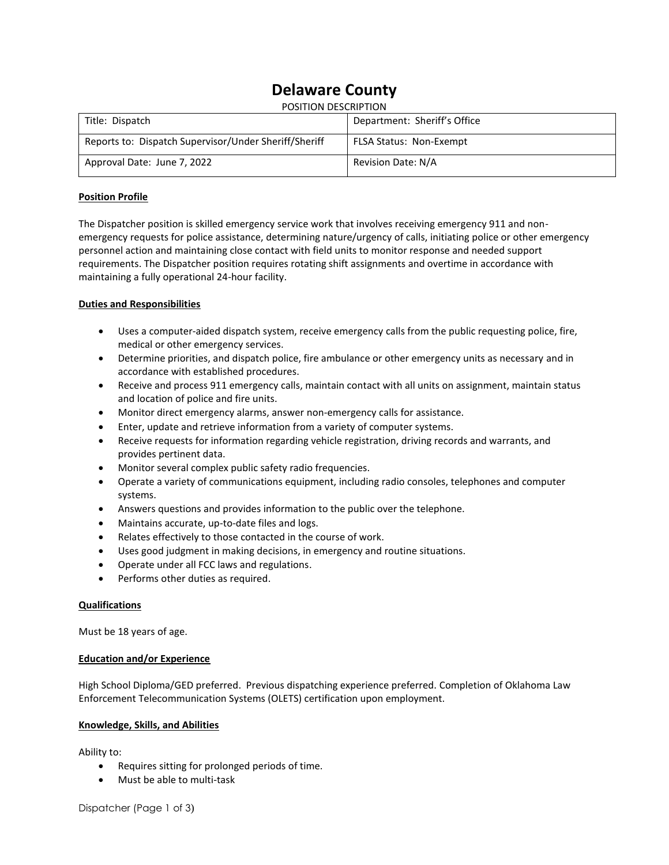# **Delaware County**

| <b>POSITION DESCRIPTION</b>                           |                                |
|-------------------------------------------------------|--------------------------------|
| Title: Dispatch                                       | Department: Sheriff's Office   |
| Reports to: Dispatch Supervisor/Under Sheriff/Sheriff | <b>FLSA Status: Non-Exempt</b> |
| Approval Date: June 7, 2022                           | Revision Date: N/A             |

## **Position Profile**

The Dispatcher position is skilled emergency service work that involves receiving emergency 911 and nonemergency requests for police assistance, determining nature/urgency of calls, initiating police or other emergency personnel action and maintaining close contact with field units to monitor response and needed support requirements. The Dispatcher position requires rotating shift assignments and overtime in accordance with maintaining a fully operational 24-hour facility.

## **Duties and Responsibilities**

- Uses a computer-aided dispatch system, receive emergency calls from the public requesting police, fire, medical or other emergency services.
- Determine priorities, and dispatch police, fire ambulance or other emergency units as necessary and in accordance with established procedures.
- Receive and process 911 emergency calls, maintain contact with all units on assignment, maintain status and location of police and fire units.
- Monitor direct emergency alarms, answer non-emergency calls for assistance.
- Enter, update and retrieve information from a variety of computer systems.
- Receive requests for information regarding vehicle registration, driving records and warrants, and provides pertinent data.
- Monitor several complex public safety radio frequencies.
- Operate a variety of communications equipment, including radio consoles, telephones and computer systems.
- Answers questions and provides information to the public over the telephone.
- Maintains accurate, up-to-date files and logs.
- Relates effectively to those contacted in the course of work.
- Uses good judgment in making decisions, in emergency and routine situations.
- Operate under all FCC laws and regulations.
- Performs other duties as required.

### **Qualifications**

Must be 18 years of age.

### **Education and/or Experience**

High School Diploma/GED preferred. Previous dispatching experience preferred. Completion of Oklahoma Law Enforcement Telecommunication Systems (OLETS) certification upon employment.

### **Knowledge, Skills, and Abilities**

Ability to:

- Requires sitting for prolonged periods of time.
- Must be able to multi-task

Dispatcher (Page 1 of 3)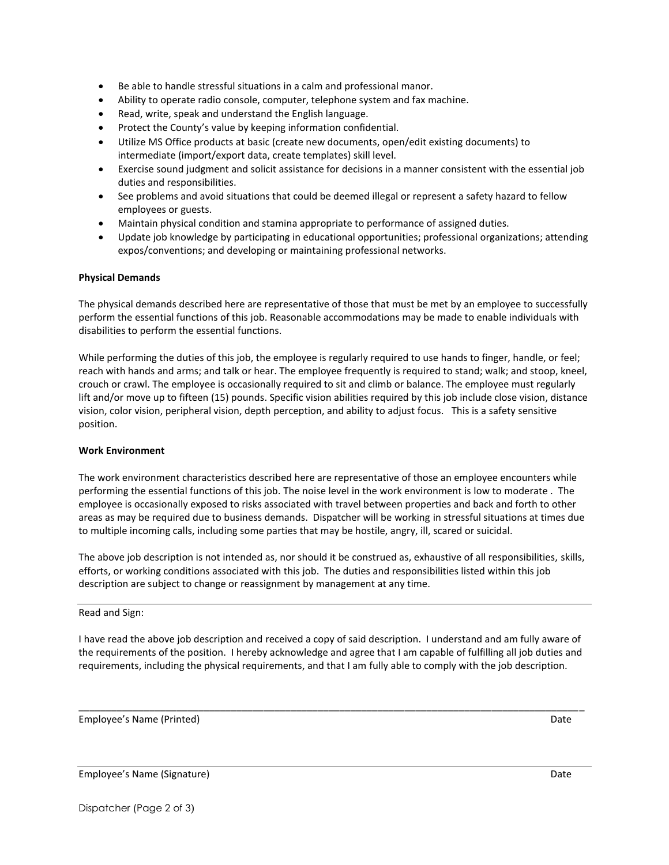- Be able to handle stressful situations in a calm and professional manor.
- Ability to operate radio console, computer, telephone system and fax machine.
- Read, write, speak and understand the English language.
- Protect the County's value by keeping information confidential.
- Utilize MS Office products at basic (create new documents, open/edit existing documents) to intermediate (import/export data, create templates) skill level.
- Exercise sound judgment and solicit assistance for decisions in a manner consistent with the essential job duties and responsibilities.
- See problems and avoid situations that could be deemed illegal or represent a safety hazard to fellow employees or guests.
- Maintain physical condition and stamina appropriate to performance of assigned duties.
- Update job knowledge by participating in educational opportunities; professional organizations; attending expos/conventions; and developing or maintaining professional networks.

### **Physical Demands**

The physical demands described here are representative of those that must be met by an employee to successfully perform the essential functions of this job. Reasonable accommodations may be made to enable individuals with disabilities to perform the essential functions.

While performing the duties of this job, the employee is regularly required to use hands to finger, handle, or feel; reach with hands and arms; and talk or hear. The employee frequently is required to stand; walk; and stoop, kneel, crouch or crawl. The employee is occasionally required to sit and climb or balance. The employee must regularly lift and/or move up to fifteen (15) pounds. Specific vision abilities required by this job include close vision, distance vision, color vision, peripheral vision, depth perception, and ability to adjust focus. This is a safety sensitive position.

### **Work Environment**

The work environment characteristics described here are representative of those an employee encounters while performing the essential functions of this job. The noise level in the work environment is low to moderate . The employee is occasionally exposed to risks associated with travel between properties and back and forth to other areas as may be required due to business demands. Dispatcher will be working in stressful situations at times due to multiple incoming calls, including some parties that may be hostile, angry, ill, scared or suicidal.

The above job description is not intended as, nor should it be construed as, exhaustive of all responsibilities, skills, efforts, or working conditions associated with this job. The duties and responsibilities listed within this job description are subject to change or reassignment by management at any time.

Read and Sign:

I have read the above job description and received a copy of said description. I understand and am fully aware of the requirements of the position. I hereby acknowledge and agree that I am capable of fulfilling all job duties and requirements, including the physical requirements, and that I am fully able to comply with the job description.

\_\_\_\_\_\_\_\_\_\_\_\_\_\_\_\_\_\_\_\_\_\_\_\_\_\_\_\_\_\_\_\_\_\_\_\_\_\_\_\_\_\_\_\_\_\_\_\_\_\_\_\_\_\_\_\_\_\_\_\_\_\_\_\_\_\_\_\_\_\_\_\_\_\_\_\_\_\_\_\_\_\_\_\_\_\_\_\_\_\_\_\_\_

Employee's Name (Printed) and the control of the control of the control of the control of the control of the control of the control of the control of the control of the control of the control of the control of the control

Employee's Name (Signature) and the control of the control of the control of the control of the control of the control of the control of the control of the control of the control of the control of the control of the contro